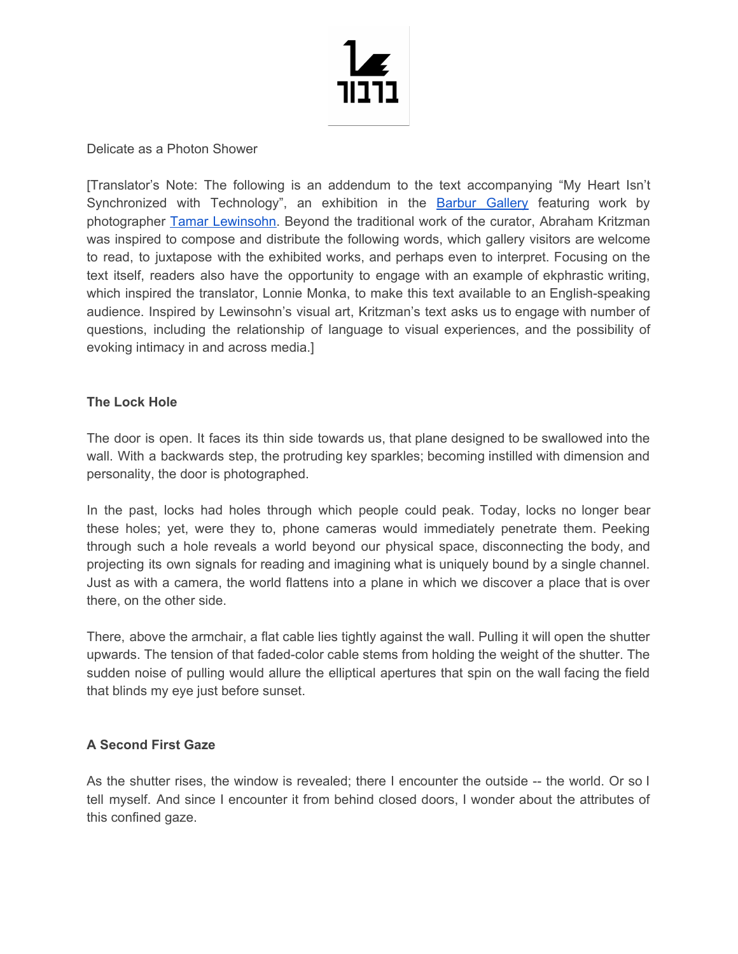

Delicate as a Photon Shower

[Translator's Note: The following is an addendum to the text accompanying "My Heart Isn't Synchronized with Technology", an exhibition in the Barbur [Gallery](http://barbur.org/) featuring work by photographer Tamar [Lewinsohn.](https://www.tamarlewinsohn.com/) Beyond the traditional work of the curator, Abraham Kritzman was inspired to compose and distribute the following words, which gallery visitors are welcome to read, to juxtapose with the exhibited works, and perhaps even to interpret. Focusing on the text itself, readers also have the opportunity to engage with an example of ekphrastic writing, which inspired the translator, Lonnie Monka, to make this text available to an English-speaking audience. Inspired by Lewinsohn's visual art, Kritzman's text asks us to engage with number of questions, including the relationship of language to visual experiences, and the possibility of evoking intimacy in and across media.]

### **The Lock Hole**

The door is open. It faces its thin side towards us, that plane designed to be swallowed into the wall. With a backwards step, the protruding key sparkles; becoming instilled with dimension and personality, the door is photographed.

In the past, locks had holes through which people could peak. Today, locks no longer bear these holes; yet, were they to, phone cameras would immediately penetrate them. Peeking through such a hole reveals a world beyond our physical space, disconnecting the body, and projecting its own signals for reading and imagining what is uniquely bound by a single channel. Just as with a camera, the world flattens into a plane in which we discover a place that is over there, on the other side.

There, above the armchair, a flat cable lies tightly against the wall. Pulling it will open the shutter upwards. The tension of that faded-color cable stems from holding the weight of the shutter. The sudden noise of pulling would allure the elliptical apertures that spin on the wall facing the field that blinds my eye just before sunset.

# **A Second First Gaze**

As the shutter rises, the window is revealed; there I encounter the outside -- the world. Or so I tell myself. And since I encounter it from behind closed doors, I wonder about the attributes of this confined gaze.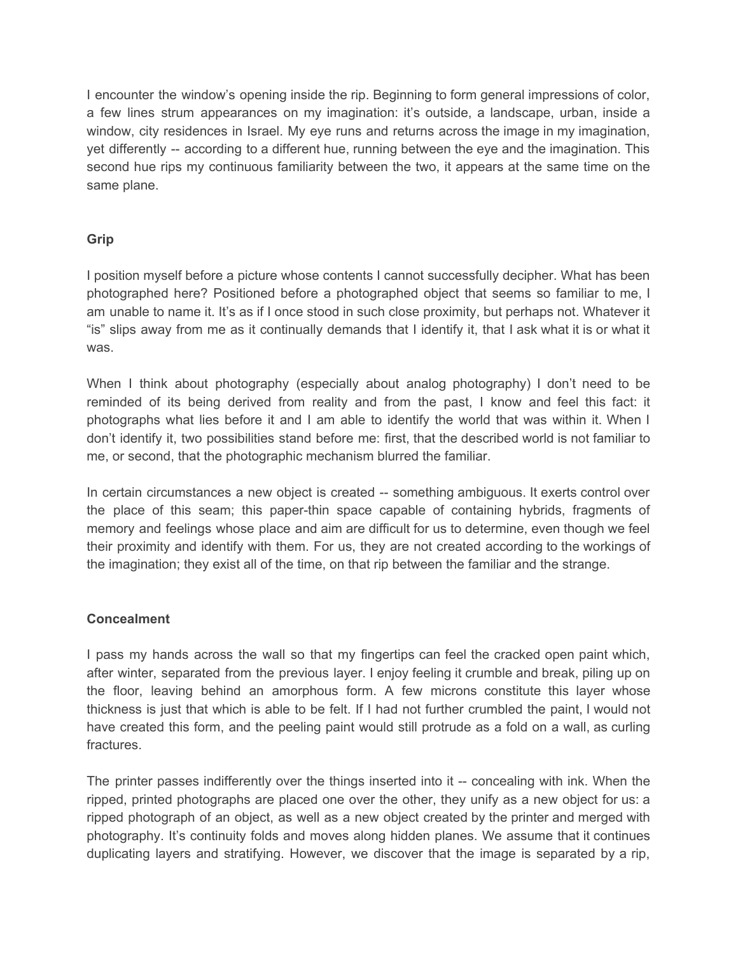I encounter the window's opening inside the rip. Beginning to form general impressions of color, a few lines strum appearances on my imagination: it's outside, a landscape, urban, inside a window, city residences in Israel. My eye runs and returns across the image in my imagination, yet differently -- according to a different hue, running between the eye and the imagination. This second hue rips my continuous familiarity between the two, it appears at the same time on the same plane.

# **Grip**

I position myself before a picture whose contents I cannot successfully decipher. What has been photographed here? Positioned before a photographed object that seems so familiar to me, I am unable to name it. It's as if I once stood in such close proximity, but perhaps not. Whatever it "is" slips away from me as it continually demands that I identify it, that I ask what it is or what it was.

When I think about photography (especially about analog photography) I don't need to be reminded of its being derived from reality and from the past, I know and feel this fact: it photographs what lies before it and I am able to identify the world that was within it. When I don't identify it, two possibilities stand before me: first, that the described world is not familiar to me, or second, that the photographic mechanism blurred the familiar.

In certain circumstances a new object is created -- something ambiguous. It exerts control over the place of this seam; this paper-thin space capable of containing hybrids, fragments of memory and feelings whose place and aim are difficult for us to determine, even though we feel their proximity and identify with them. For us, they are not created according to the workings of the imagination; they exist all of the time, on that rip between the familiar and the strange.

# **Concealment**

I pass my hands across the wall so that my fingertips can feel the cracked open paint which, after winter, separated from the previous layer. I enjoy feeling it crumble and break, piling up on the floor, leaving behind an amorphous form. A few microns constitute this layer whose thickness is just that which is able to be felt. If I had not further crumbled the paint, I would not have created this form, and the peeling paint would still protrude as a fold on a wall, as curling fractures.

The printer passes indifferently over the things inserted into it -- concealing with ink. When the ripped, printed photographs are placed one over the other, they unify as a new object for us: a ripped photograph of an object, as well as a new object created by the printer and merged with photography. It's continuity folds and moves along hidden planes. We assume that it continues duplicating layers and stratifying. However, we discover that the image is separated by a rip,